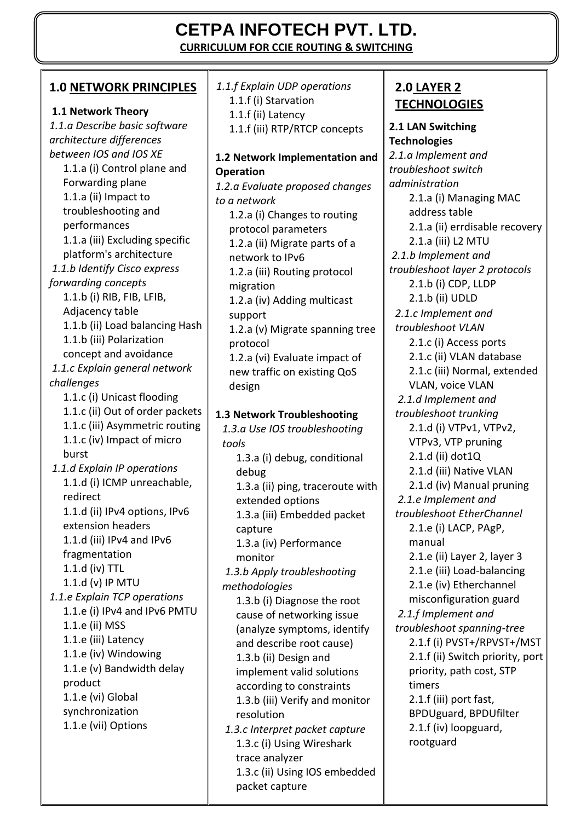# **CETPA INFOTECH PVT. LTD.**

**CURRICULUM FOR CCIE ROUTING & SWITCHING**

#### **1.0 NETWORK PRINCIPLES**

#### **1.1 Network Theory**

*1.1.a Describe basic software architecture differences between IOS and IOS XE*  1.1.a (i) Control plane and Forwarding plane 1.1.a (ii) Impact to troubleshooting and performances 1.1.a (iii) Excluding specific platform's architecture *1.1.b Identify Cisco express forwarding concepts*  1.1.b (i) RIB, FIB, LFIB, Adjacency table 1.1.b (ii) Load balancing Hash 1.1.b (iii) Polarization concept and avoidance *1.1.c Explain general network challenges*  1.1.c (i) Unicast flooding 1.1.c (ii) Out of order packets 1.1.c (iii) Asymmetric routing 1.1.c (iv) Impact of micro burst *1.1.d Explain IP operations*  1.1.d (i) ICMP unreachable, redirect 1.1.d (ii) IPv4 options, IPv6 extension headers 1.1.d (iii) IPv4 and IPv6 fragmentation 1.1.d (iv) TTL 1.1.d (v) IP MTU *1.1.e Explain TCP operations* 1.1.e (i) IPv4 and IPv6 PMTU 1.1.e (ii) MSS 1.1.e (iii) Latency 1.1.e (iv) Windowing 1.1.e (v) Bandwidth delay product 1.1.e (vi) Global synchronization 1.1.e (vii) Options

*1.1.f Explain UDP operations*  1.1.f (i) Starvation 1.1.f (ii) Latency 1.1.f (iii) RTP/RTCP concepts

#### **1.2 Network Implementation and Operation**

*1.2.a Evaluate proposed changes to a network*  1.2.a (i) Changes to routing protocol parameters 1.2.a (ii) Migrate parts of a network to IPv6 1.2.a (iii) Routing protocol migration 1.2.a (iv) Adding multicast support 1.2.a (v) Migrate spanning tree protocol 1.2.a (vi) Evaluate impact of new traffic on existing QoS design

#### **1.3 Network Troubleshooting**

*1.3.a Use IOS troubleshooting tools*  1.3.a (i) debug, conditional debug 1.3.a (ii) ping, traceroute with extended options 1.3.a (iii) Embedded packet capture 1.3.a (iv) Performance monitor *1.3.b Apply troubleshooting methodologies*  1.3.b (i) Diagnose the root cause of networking issue (analyze symptoms, identify and describe root cause) 1.3.b (ii) Design and implement valid solutions according to constraints 1.3.b (iii) Verify and monitor resolution *1.3.c Interpret packet capture*  1.3.c (i) Using Wireshark trace analyzer 1.3.c (ii) Using IOS embedded packet capture

### **2.0 LAYER 2 TECHNOLOGIES**

**2.1 LAN Switching Technologies**  *2.1.a Implement and troubleshoot switch administration*  2.1.a (i) Managing MAC address table 2.1.a (ii) errdisable recovery 2.1.a (iii) L2 MTU *2.1.b Implement and troubleshoot layer 2 protocols*  2.1.b (i) CDP, LLDP 2.1.b (ii) UDLD *2.1.c Implement and troubleshoot VLAN*  2.1.c (i) Access ports 2.1.c (ii) VLAN database 2.1.c (iii) Normal, extended VLAN, voice VLAN *2.1.d Implement and troubleshoot trunking*  2.1.d (i) VTPv1, VTPv2, VTPv3, VTP pruning 2.1.d (ii) dot1Q 2.1.d (iii) Native VLAN 2.1.d (iv) Manual pruning *2.1.e Implement and troubleshoot EtherChannel*  2.1.e (i) LACP, PAgP, manual 2.1.e (ii) Layer 2, layer 3 2.1.e (iii) Load-balancing 2.1.e (iv) Etherchannel misconfiguration guard *2.1.f Implement and troubleshoot spanning-tree*  2.1.f (i) PVST+/RPVST+/MST 2.1.f (ii) Switch priority, port priority, path cost, STP timers 2.1.f (iii) port fast, BPDUguard, BPDUfilter 2.1.f (iv) loopguard, rootguard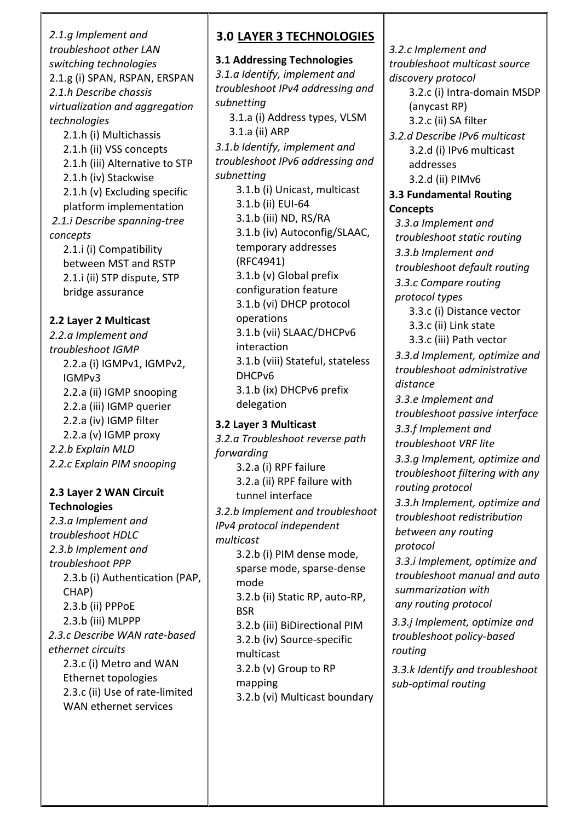*2.1.g Implement and troubleshoot other LAN switching technologies*  2.1.g (i) SPAN, RSPAN, ERSPAN *2.1.h Describe chassis virtualization and aggregation technologies* 2.1.h (i) Multichassis 2.1.h (ii) VSS concepts 2.1.h (iii) Alternative to STP 2.1.h (iv) Stackwise 2.1.h (v) Excluding specific platform implementation *2.1.i Describe spanning-tree concepts*  2.1.i (i) Compatibility between MST and RSTP 2.1.i (ii) STP dispute, STP bridge assurance **2.2 Layer 2 Multicast**  *2.2.a Implement and troubleshoot IGMP*  2.2.a (i) IGMPv1, IGMPv2, IGMPv3 2.2.a (ii) IGMP snooping 2.2.a (iii) IGMP querier 2.2.a (iv) IGMP filter 2.2.a (v) IGMP proxy *2.2.b Explain MLD 2.2.c Explain PIM snooping* **2.3 Layer 2 WAN Circuit Technologies**  *2.3.a Implement and troubleshoot HDLC 2.3.b Implement and troubleshoot PPP*  2.3.b (i) Authentication (PAP, CHAP) 2.3.b (ii) PPPoE 2.3.b (iii) MLPPP *2.3.c Describe WAN rate-based ethernet circuits*  2.3.c (i) Metro and WAN Ethernet topologies 2.3.c (ii) Use of rate-limited WAN ethernet services

## **3.0 LAYER 3 TECHNOLOGIES**

**3.1 Addressing Technologies**  *3.1.a Identify, implement and troubleshoot IPv4 addressing and subnetting*  3.1.a (i) Address types, VLSM 3.1.a (ii) ARP *3.1.b Identify, implement and troubleshoot IPv6 addressing and subnetting*  3.1.b (i) Unicast, multicast 3.1.b (ii) EUI-64 3.1.b (iii) ND, RS/RA 3.1.b (iv) Autoconfig/SLAAC, temporary addresses (RFC4941) 3.1.b (v) Global prefix configuration feature 3.1.b (vi) DHCP protocol operations 3.1.b (vii) SLAAC/DHCPv6 interaction 3.1.b (viii) Stateful, stateless DHCPv6 3.1.b (ix) DHCPv6 prefix delegation **3.2 Layer 3 Multicast**  *3.2.a Troubleshoot reverse path* 

*forwarding*  3.2.a (i) RPF failure 3.2.a (ii) RPF failure with tunnel interface *3.2.b Implement and troubleshoot IPv4 protocol independent multicast*  3.2.b (i) PIM dense mode, sparse mode, sparse-dense mode 3.2.b (ii) Static RP, auto-RP, **BSR** 3.2.b (iii) BiDirectional PIM 3.2.b (iv) Source-specific multicast 3.2.b (v) Group to RP mapping 3.2.b (vi) Multicast boundary

*3.2.c Implement and troubleshoot multicast source discovery protocol* 

3.2.c (i) Intra-domain MSDP (anycast RP) 3.2.c (ii) SA filter

*3.2.d Describe IPv6 multicast*  3.2.d (i) IPv6 multicast addresses 3.2.d (ii) PIMv6

**3.3 Fundamental Routing Concepts** 

*3.3.a Implement and troubleshoot static routing 3.3.b Implement and troubleshoot default routing 3.3.c Compare routing protocol types* 

3.3.c (i) Distance vector 3.3.c (ii) Link state

3.3.c (iii) Path vector *3.3.d Implement, optimize and troubleshoot administrative distance* 

*3.3.e Implement and troubleshoot passive interface 3.3.f Implement and troubleshoot VRF lite* 

*3.3.g Implement, optimize and troubleshoot filtering with any routing protocol* 

*3.3.h Implement, optimize and troubleshoot redistribution between any routing protocol* 

*3.3.i Implement, optimize and troubleshoot manual and auto summarization with any routing protocol*

*3.3.j Implement, optimize and troubleshoot policy-based routing*

*3.3.k Identify and troubleshoot sub-optimal routing*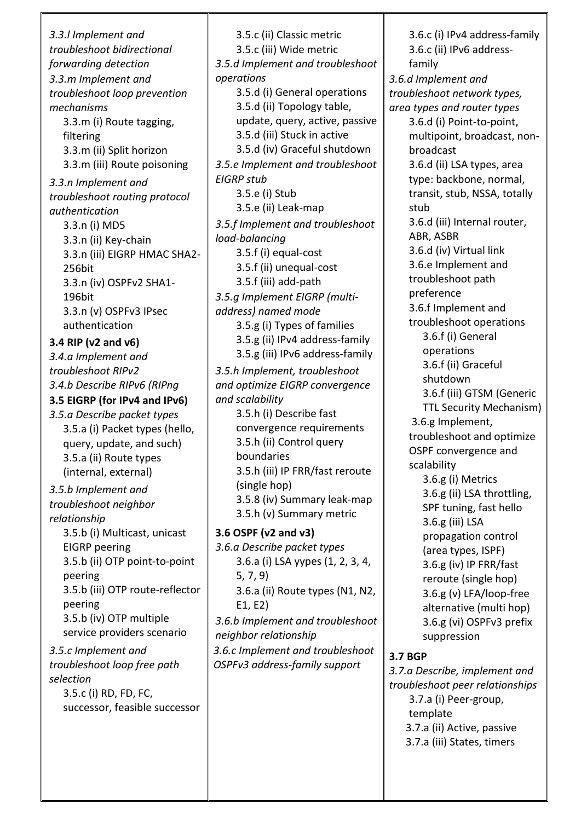*3.3.l Implement and troubleshoot bidirectional forwarding detection 3.3.m Implement and troubleshoot loop prevention mechanisms*  3.3.m (i) Route tagging, filtering 3.3.m (ii) Split horizon 3.3.m (iii) Route poisoning *3.3.n Implement and troubleshoot routing protocol authentication*  3.3.n (i) MD5 3.3.n (ii) Key-chain 3.3.n (iii) EIGRP HMAC SHA2- 256bit 3.3.n (iv) OSPFv2 SHA1- 196bit 3.3.n (v) OSPFv3 IPsec authentication **3.4 RIP (v2 and v6)**  *3.4.a Implement and troubleshoot RIPv2 3.4.b Describe RIPv6 (RIPng* **3.5 EIGRP (for IPv4 and IPv6)** *3.5.a Describe packet types*  3.5.a (i) Packet types (hello, query, update, and such) 3.5.a (ii) Route types (internal, external) *3.5.b Implement and troubleshoot neighbor relationship*  3.5.b (i) Multicast, unicast EIGRP peering 3.5.b (ii) OTP point-to-point peering 3.5.b (iii) OTP route-reflector peering 3.5.b (iv) OTP multiple service providers scenario *3.5.c Implement and troubleshoot loop free path selection*  3.5.c (i) RD, FD, FC, successor, feasible successor

3.5.c (ii) Classic metric 3.5.c (iii) Wide metric *3.5.d Implement and troubleshoot operations*  3.5.d (i) General operations 3.5.d (ii) Topology table, update, query, active, passive 3.5.d (iii) Stuck in active 3.5.d (iv) Graceful shutdown *3.5.e Implement and troubleshoot EIGRP stub*  3.5.e (i) Stub 3.5.e (ii) Leak-map *3.5.f Implement and troubleshoot load-balancing*  3.5.f (i) equal-cost 3.5.f (ii) unequal-cost 3.5.f (iii) add-path *3.5.g Implement EIGRP (multiaddress) named mode*  3.5.g (i) Types of families 3.5.g (ii) IPv4 address-family 3.5.g (iii) IPv6 address-family *3.5.h Implement, troubleshoot and optimize EIGRP convergence and scalability*  3.5.h (i) Describe fast convergence requirements 3.5.h (ii) Control query boundaries 3.5.h (iii) IP FRR/fast reroute (single hop) 3.5.8 (iv) Summary leak-map 3.5.h (v) Summary metric **3.6 OSPF (v2 and v3)**  *3.6.a Describe packet types*  3.6.a (i) LSA yypes (1, 2, 3, 4, 5, 7, 9) 3.6.a (ii) Route types (N1, N2, E1, E2) *3.6.b Implement and troubleshoot neighbor relationship 3.6.c Implement and troubleshoot OSPFv3 address-family support* 

3.6.c (i) IPv4 address-family 3.6.c (ii) IPv6 addressfamily *3.6.d Implement and troubleshoot network types, area types and router types*  3.6.d (i) Point-to-point, multipoint, broadcast, nonbroadcast 3.6.d (ii) LSA types, area type: backbone, normal, transit, stub, NSSA, totally stub 3.6.d (iii) Internal router, ABR, ASBR 3.6.d (iv) Virtual link 3.6.e Implement and troubleshoot path preference 3.6.f Implement and troubleshoot operations 3.6.f (i) General operations 3.6.f (ii) Graceful shutdown 3.6.f (iii) GTSM (Generic TTL Security Mechanism) 3.6.g Implement, troubleshoot and optimize OSPF convergence and scalability 3.6.g (i) Metrics 3.6.g (ii) LSA throttling, SPF tuning, fast hello 3.6.g (iii) LSA propagation control (area types, ISPF) 3.6.g (iv) IP FRR/fast reroute (single hop) 3.6.g (v) LFA/loop-free alternative (multi hop) 3.6.g (vi) OSPFv3 prefix suppression **3.7 BGP**  *3.7.a Describe, implement and* 

*troubleshoot peer relationships*  3.7.a (i) Peer-group, template 3.7.a (ii) Active, passive 3.7.a (iii) States, timers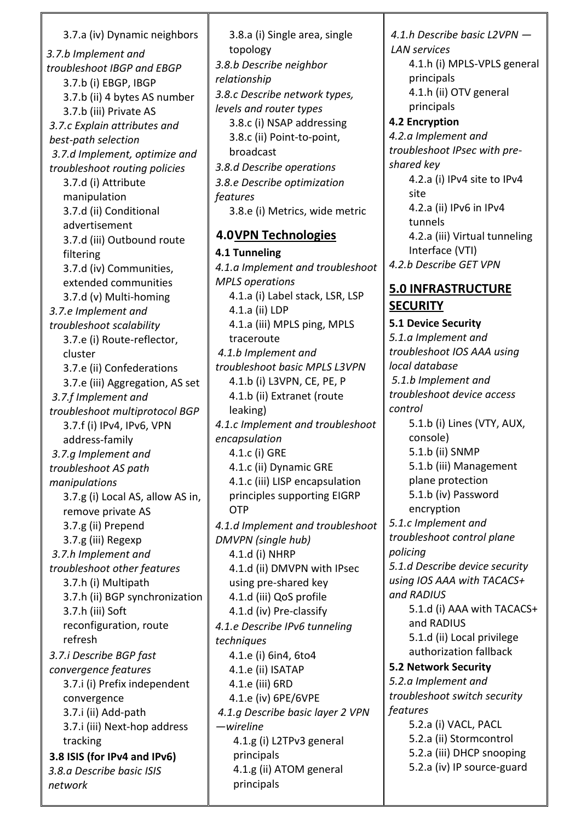## 3.7.a (iv) Dynamic neighbors

*3.7.b Implement and troubleshoot IBGP and EBGP*  3.7.b (i) EBGP, IBGP 3.7.b (ii) 4 bytes AS number 3.7.b (iii) Private AS *3.7.c Explain attributes and best-path selection 3.7.d Implement, optimize and troubleshoot routing policies*  3.7.d (i) Attribute manipulation 3.7.d (ii) Conditional advertisement 3.7.d (iii) Outbound route filtering 3.7.d (iv) Communities, extended communities 3.7.d (v) Multi-homing *3.7.e Implement and troubleshoot scalability*  3.7.e (i) Route-reflector, cluster 3.7.e (ii) Confederations 3.7.e (iii) Aggregation, AS set *3.7.f Implement and troubleshoot multiprotocol BGP*  3.7.f (i) IPv4, IPv6, VPN address-family *3.7.g Implement and troubleshoot AS path manipulations*  3.7.g (i) Local AS, allow AS in, remove private AS 3.7.g (ii) Prepend 3.7.g (iii) Regexp *3.7.h Implement and troubleshoot other features*  3.7.h (i) Multipath 3.7.h (ii) BGP synchronization 3.7.h (iii) Soft reconfiguration, route refresh *3.7.i Describe BGP fast convergence features*  3.7.i (i) Prefix independent convergence 3.7.i (ii) Add-path 3.7.i (iii) Next-hop address tracking **3.8 ISIS (for IPv4 and IPv6)**  *3.8.a Describe basic ISIS network* 

3.8.a (i) Single area, single topology *3.8.b Describe neighbor relationship 3.8.c Describe network types, levels and router types*  3.8.c (i) NSAP addressing 3.8.c (ii) Point-to-point, broadcast *3.8.d Describe operations 3.8.e Describe optimization features*  3.8.e (i) Metrics, wide metric **4.0VPN Technologies 4.1 Tunneling**  *4.1.a Implement and troubleshoot MPLS operations*  4.1.a (i) Label stack, LSR, LSP 4.1.a (ii) LDP 4.1.a (iii) MPLS ping, MPLS traceroute *4.1.b Implement and troubleshoot basic MPLS L3VPN*  4.1.b (i) L3VPN, CE, PE, P 4.1.b (ii) Extranet (route leaking) *4.1.c Implement and troubleshoot encapsulation*  4.1.c (i) GRE 4.1.c (ii) Dynamic GRE 4.1.c (iii) LISP encapsulation principles supporting EIGRP OTP *4.1.d Implement and troubleshoot DMVPN (single hub)*  4.1.d (i) NHRP 4.1.d (ii) DMVPN with IPsec using pre-shared key 4.1.d (iii) QoS profile 4.1.d (iv) Pre-classify *4.1.e Describe IPv6 tunneling techniques*  4.1.e (i) 6in4, 6to4 4.1.e (ii) ISATAP 4.1.e (iii) 6RD 4.1.e (iv) 6PE/6VPE *4.1.g Describe basic layer 2 VPN —wireline*  4.1.g (i) L2TPv3 general principals 4.1.g (ii) ATOM general principals

*4.1.h Describe basic L2VPN — LAN services*  4.1.h (i) MPLS-VPLS general principals 4.1.h (ii) OTV general principals **4.2 Encryption**  *4.2.a Implement and troubleshoot IPsec with preshared key*  4.2.a (i) IPv4 site to IPv4 site

4.2.a (ii) IPv6 in IPv4 tunnels 4.2.a (iii) Virtual tunneling Interface (VTI) *4.2.b Describe GET VPN* 

#### **5.0 INFRASTRUCTURE SECURITY**

**5.1 Device Security**  *5.1.a Implement and troubleshoot IOS AAA using local database 5.1.b Implement and troubleshoot device access control*  5.1.b (i) Lines (VTY, AUX, console) 5.1.b (ii) SNMP 5.1.b (iii) Management plane protection 5.1.b (iv) Password encryption *5.1.c Implement and troubleshoot control plane policing 5.1.d Describe device security using IOS AAA with TACACS+ and RADIUS* 5.1.d (i) AAA with TACACS+ and RADIUS 5.1.d (ii) Local privilege authorization fallback **5.2 Network Security**  *5.2.a Implement and troubleshoot switch security features*  5.2.a (i) VACL, PACL 5.2.a (ii) Stormcontrol 5.2.a (iii) DHCP snooping 5.2.a (iv) IP source-guard